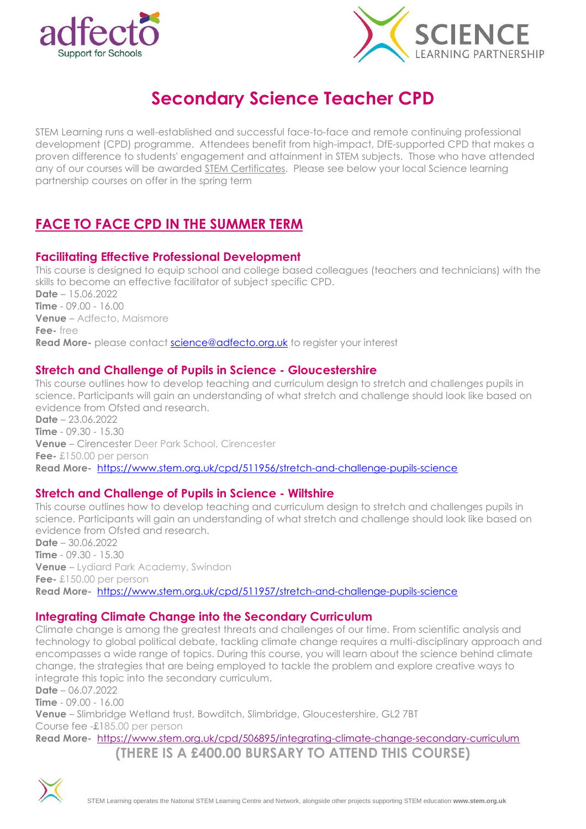



# **Secondary Science Teacher CPD**

STEM Learning runs a well-established and successful face-to-face and remote continuing professional development (CPD) programme. Attendees benefit from high-impact, DfE-supported CPD that makes a proven difference to students' engagement and attainment in STEM subjects. Those who have attended any of our courses will be awarded STEM [Certificates.](http://email.stem.org.uk/c/16yZDCX7YrNkJhgreYcPUE) Please see below your local Science learning partnership courses on offer in the spring term

# **FACE TO FACE CPD IN THE SUMMER TERM**

# **Facilitating Effective Professional Development**

This course is designed to equip school and college based colleagues (teachers and technicians) with the skills to become an effective facilitator of subject specific CPD. **Date** – 15.06.2022 **Time** - 09.00 - 16.00 **Venue** – Adfecto, Maismore **Fee-** free **Read More-** please contact [science@adfecto.org.uk](mailto:science@adfecto.org.uk) to register your interest

# **Stretch and Challenge of Pupils in Science - Gloucestershire**

This course outlines how to develop teaching and curriculum design to stretch and challenges pupils in science. Participants will gain an understanding of what stretch and challenge should look like based on evidence from Ofsted and research. **Date** – 23.06.2022 **Time** - 09.30 - 15.30

**Venue** – Cirencester Deer Park School, Cirencester **Fee-** £150.00 per person **Read More-** <https://www.stem.org.uk/cpd/511956/stretch-and-challenge-pupils-science>

### **Stretch and Challenge of Pupils in Science - Wiltshire**

This course outlines how to develop teaching and curriculum design to stretch and challenges pupils in science. Participants will gain an understanding of what stretch and challenge should look like based on evidence from Ofsted and research.

**Date** – 30.06.2022 **Time** - 09.30 - 15.30 **Venue** – Lydiard Park Academy, Swindon **Fee-** £150.00 per person **Read More-** <https://www.stem.org.uk/cpd/511957/stretch-and-challenge-pupils-science>

### **Integrating Climate Change into the Secondary Curriculum**

Climate change is among the greatest threats and challenges of our time. From scientific analysis and technology to global political debate, tackling climate change requires a multi-disciplinary approach and encompasses a wide range of topics. During this course, you will learn about the science behind climate change, the strategies that are being employed to tackle the problem and explore creative ways to integrate this topic into the secondary curriculum.

**Date** – 06.07.2022

**Time** - 09.00 - 16.00

**Venue** – Slimbridge Wetland trust, Bowditch, Slimbridge, Gloucestershire, GL2 7BT Course fee -£185.00 per person

**Read More-** <https://www.stem.org.uk/cpd/506895/integrating-climate-change-secondary-curriculum>

**(THERE IS A £400.00 BURSARY TO ATTEND THIS COURSE)**

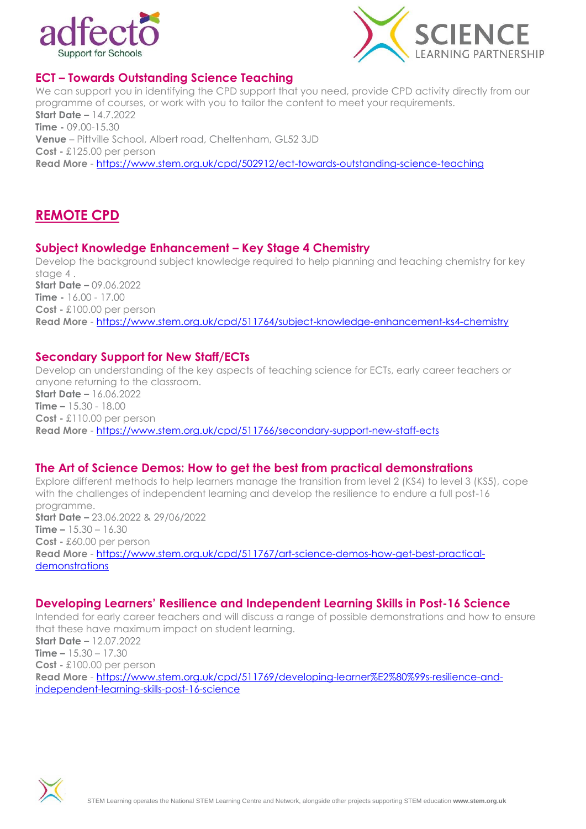



# **ECT – Towards Outstanding Science Teaching**

We can support you in identifying the CPD support that you need, provide CPD activity directly from our programme of courses, or work with you to tailor the content to meet your requirements. **Start Date –** 14.7.2022 **Time -** 09.00-15.30 **Venue** – Pittville School, Albert road, Cheltenham, GL52 3JD **Cost -** £125.00 per person **Read More** - <https://www.stem.org.uk/cpd/502912/ect-towards-outstanding-science-teaching>

# **REMOTE CPD**

#### **Subject Knowledge Enhancement – Key Stage 4 Chemistry**

Develop the background subject knowledge required to help planning and teaching chemistry for key stage 4 . **Start Date –** 09.06.2022 **Time -** 16.00 - 17.00 **Cost -** £100.00 per person **Read More** - <https://www.stem.org.uk/cpd/511764/subject-knowledge-enhancement-ks4-chemistry>

#### **Secondary Support for New Staff/ECTs**

Develop an understanding of the key aspects of teaching science for ECTs, early career teachers or anyone returning to the classroom. **Start Date –** 16.06.2022 **Time –** 15.30 - 18.00 **Cost -** £110.00 per person **Read More** - <https://www.stem.org.uk/cpd/511766/secondary-support-new-staff-ects>

#### **The Art of Science Demos: How to get the best from practical demonstrations**

Explore different methods to help learners manage the transition from level 2 (KS4) to level 3 (KS5), cope with the challenges of independent learning and develop the resilience to endure a full post-16 programme. **Start Date –** 23.06.2022 & 29/06/2022 **Time –** 15.30 – 16.30 **Cost -** £60.00 per person **Read More** - [https://www.stem.org.uk/cpd/511767/art-science-demos-how-get-best-practical](https://www.stem.org.uk/cpd/511767/art-science-demos-how-get-best-practical-demonstrations)[demonstrations](https://www.stem.org.uk/cpd/511767/art-science-demos-how-get-best-practical-demonstrations)

#### **Developing Learners' Resilience and Independent Learning Skills in Post-16 Science**

Intended for early career teachers and will discuss a range of possible demonstrations and how to ensure that these have maximum impact on student learning.

**Start Date –** 12.07.2022 **Time –** 15.30 – 17.30 **Cost -** £100.00 per person **Read More** - [https://www.stem.org.uk/cpd/511769/developing-learner%E2%80%99s-resilience-and](https://www.stem.org.uk/cpd/511769/developing-learner%E2%80%99s-resilience-and-independent-learning-skills-post-16-science)[independent-learning-skills-post-16-science](https://www.stem.org.uk/cpd/511769/developing-learner%E2%80%99s-resilience-and-independent-learning-skills-post-16-science)